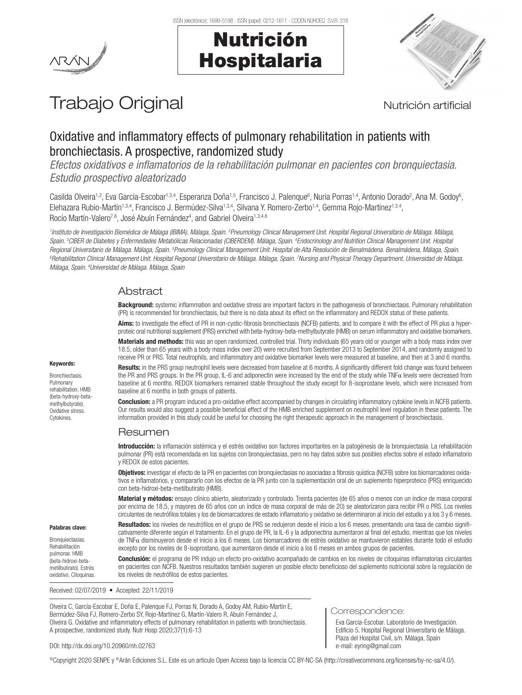

# Nutrición Hospitalaria



# Trabajo Original **Nutrición artificial**

# Oxidative and inflammatory effects of pulmonary rehabilitation in patients with bronchiectasis. A prospective, randomized study

*Efectos oxidativos e inflamatorios de la rehabilitación pulmonar en pacientes con bronquiectasia. Estudio prospectivo aleatorizado*

Casilda Olveira<sup>1,2</sup>, Eva García-Escobar<sup>1,3,4</sup>, Esperanza Doña<sup>1,5</sup>, Francisco J. Palenque<sup>6</sup>, Nuria Porras<sup>1,4</sup>, Antonio Dorado<sup>2</sup>, Ana M. Godoy<sup>6</sup>, Elehazara Rubio-Martín<sup>1,3,4</sup>, Francisco J. Bermúdez-Silva<sup>1,3,4</sup>, Silvana Y. Romero-Zerbo<sup>1,4</sup>, Gemma Rojo-Martínez<sup>1,3,4</sup>, Rocío Martín-Valero<sup>7,8</sup>, José Abuín Fernández<sup>4</sup>, and Gabriel Olveira<sup>1,3,4,8</sup>

<sup>1</sup>Instituto de Investigación Biomédica de Málaga (IBIMA). Málaga, Spain. <sup>2</sup>Pneumology Clinical Management Unit. Hospital Regional Universitario de Málaga. Málaga, Spain. <sup>3</sup>CIBER de Diabetes y Enfermedades Metabólicas Relacionadas (CIBERDEM). Málaga, Spain. <sup>4</sup>Endocrinology and Nutrition Clinical Management Unit. Hospital Regional Universitario de Málaga, Málaga, Spain. <sup>s</sup>Pneumology Clinical Management Unit. Hospital de Alta Resolución de Benalmádena. Benalmádena, Málaga, Spain.<br>ºBehabilitation Clinical Management Hoit. Hospital Regional H Rehabilitation Clinical Management Unit. Hospital Regional Universitario de Málaga. Málaga, Spain. <sup>7</sup>Nursing and Physical Therapy Department. Universidad de Málaga. *Málaga, Spain. 8 Universidad de Málaga. Málaga, Spain*

# Abstract

Background: systemic inflammation and oxidative stress are important factors in the pathogenesis of bronchiectasis. Pulmonary rehabilitation (PR) is recommended for bronchiectasis, but there is no data about its effect on the inflammatory and REDOX status of these patients. Aims: to investigate the effect of PR in non-cystic-fibrosis bronchiectasis (NCFB) patients, and to compare it with the effect of PR plus a hyper-

proteic oral nutritional supplement (PRS) enriched with beta-hydroxy-beta-methylbutyrate (HMB) on serum inflammatory and oxidative biomarkers. Materials and methods: this was an open randomized, controlled trial. Thirty individuals (65 years old or younger with a body mass index over 18.5, older than 65 years with a body mass index over 20) were recruited from September 2013 to September 2014, and randomly assigned to receive PR or PRS. Total neutrophils, and inflammatory and oxidative biomarker levels were measured at baseline, and then at 3 and 6 months.

Results: in the PRS group neutrophil levels were decreased from baseline at 6 months. A significantly different fold change was found between the PR and PRS groups. In the PR group, IL-6 and adiponectin were increased by the end of the study while TNFα levels were decreased from baseline at 6 months. REDOX biomarkers remained stable throughout the study except for 8-isoprostane levels, which were increased from baseline at 6 months in both groups of patients.

Conclusion: a PR program induced a pro-oxidative effect accompanied by changes in circulating inflammatory cytokine levels in NCFB patients. Our results would also suggest a possible beneficial effect of the HMB enriched supplement on neutrophil level regulation in these patients. The information provided in this study could be useful for choosing the right therapeutic approach in the management of bronchiectasis.

# Resumen

Introducción: la inflamación sistémica y el estrés oxidativo son factores importantes en la patogénesis de la bronquiectasia. La rehabilitación pulmonar (PR) está recomendada en los sujetos con bronquiectasias, pero no hay datos sobre sus posibles efectos sobre el estado inflamatorio y REDOX de estos pacientes.

Objetivos: investigar el efecto de la PR en pacientes con bronquiectasias no asociadas a fibrosis quística (NCFB) sobre los biomarcadores oxidativos e inflamatorios, y compararlo con los efectos de la PR junto con la suplementación oral de un suplemento hiperproteico (PRS) enriquecido con beta-hidroxi-beta-metilbutirato (HMB).

Material y métodos: ensayo clínico abierto, aleatorizado y controlado. Treinta pacientes (de 65 años o menos con un índice de masa corporal por encima de 18,5, y mayores de 65 años con un índice de masa corporal de más de 20) se aleatorizaron para recibir PR o PRS. Los niveles circulantes de neutrófilos totales y los de biomarcadores de estado inflamatorio y oxidativo se determinaron al inicio del estudio y a los 3 y 6 meses.

Resultados: los niveles de neutrófilos en el grupo de PRS se redujeron desde el inicio a los 6 meses, presentando una tasa de cambio significativamente diferente según el tratamiento. En el grupo de PR, la IL-6 y la adiponectina aumentaron al final del estudio, mientras que los niveles de TNFα disminuyeron desde el inicio a los 6 meses. Los biomarcadores de estrés oxidativo se mantuvieron estables durante todo el estudio excepto por los niveles de 8-isoprostano, que aumentaron desde el inicio a los 6 meses en ambos grupos de pacientes.

Conclusión: el programa de PR indujo un efecto pro-oxidativo acompañado de cambios en los niveles de citoquinas inflamatorias circulantes en pacientes con NCFB. Nuestros resultados también sugieren un posible efecto beneficioso del suplemento nutricional sobre la regulación de los niveles de neutrófilos de estos pacientes.

Received: 02/07/2019 • Accepted: 22/11/2019

Olveira C, García-Escobar E, Doña E, Palenque FJ, Porras N, Dorado A, Godoy AM, Rubio-Martín E, Bermúdez-Silva FJ, Romero-Zerbo SY, Rojo-Martínez G, Martín-Valero R, Abuín Fernández J, Olveira G. Oxidative and inflammatory effects of pulmonary rehabilitation in patients with bronchiectasis. A prospective, randomized study. Nutr Hosp 2020;37(1):6-13

#### Correspondence:

Eva García-Escobar. Laboratorio de Investigación. Edificio 5. Hospital Regional Universitario de Málaga. Plaza del Hospital Civil, s/n. Málaga, Spain e-mail: eyring@gmail.com

DOI: http://dx.doi.org/10.20960/nh.02763

©Copyright 2020 SENPE y ©Arán Ediciones S.L. Este es un artículo Open Access bajo la licencia CC BY-NC-SA (http://creativecommons.org/licenses/by-nc-sa/4.0/).

Bronchiectasis. Pulmonary rehabilitation. HMB

Keywords:

(beta-hydroxy-betamethylbutyrate). Oxidative stress. **Cytokines** 

Palabras clave: Bronquiectasias. Rehabilitación pulmonar. HMB (beta-hidroxi-betametilbutirato). Estrés oxidativo. Citoquinas.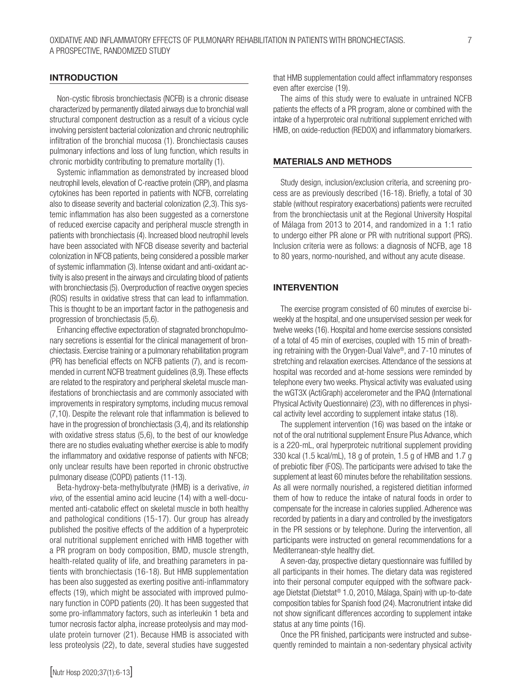### INTRODUCTION

Non-cystic fibrosis bronchiectasis (NCFB) is a chronic disease characterized by permanently dilated airways due to bronchial wall structural component destruction as a result of a vicious cycle involving persistent bacterial colonization and chronic neutrophilic infiltration of the bronchial mucosa (1). Bronchiectasis causes pulmonary infections and loss of lung function, which results in chronic morbidity contributing to premature mortality (1).

Systemic inflammation as demonstrated by increased blood neutrophil levels, elevation of C-reactive protein (CRP), and plasma cytokines has been reported in patients with NCFB, correlating also to disease severity and bacterial colonization (2,3). This systemic inflammation has also been suggested as a cornerstone of reduced exercise capacity and peripheral muscle strength in patients with bronchiectasis (4). Increased blood neutrophil levels have been associated with NFCB disease severity and bacterial colonization in NFCB patients, being considered a possible marker of systemic inflammation (3). Intense oxidant and anti-oxidant activity is also present in the airways and circulating blood of patients with bronchiectasis (5). Overproduction of reactive oxygen species (ROS) results in oxidative stress that can lead to inflammation. This is thought to be an important factor in the pathogenesis and progression of bronchiectasis (5,6).

Enhancing effective expectoration of stagnated bronchopulmonary secretions is essential for the clinical management of bronchiectasis. Exercise training or a pulmonary rehabilitation program (PR) has beneficial effects on NCFB patients (7), and is recommended in current NCFB treatment guidelines (8,9). These effects are related to the respiratory and peripheral skeletal muscle manifestations of bronchiectasis and are commonly associated with improvements in respiratory symptoms, including mucus removal (7,10). Despite the relevant role that inflammation is believed to have in the progression of bronchiectasis (3,4), and its relationship with oxidative stress status (5,6), to the best of our knowledge there are no studies evaluating whether exercise is able to modify the inflammatory and oxidative response of patients with NFCB; only unclear results have been reported in chronic obstructive pulmonary disease (COPD) patients (11-13).

Beta-hydroxy-beta-methylbutyrate (HMB) is a derivative, *in vivo*, of the essential amino acid leucine (14) with a well-documented anti-catabolic effect on skeletal muscle in both healthy and pathological conditions (15-17). Our group has already published the positive effects of the addition of a hyperproteic oral nutritional supplement enriched with HMB together with a PR program on body composition, BMD, muscle strength, health-related quality of life, and breathing parameters in patients with bronchiectasis (16-18). But HMB supplementation has been also suggested as exerting positive anti-inflammatory effects (19), which might be associated with improved pulmonary function in COPD patients (20). It has been suggested that some pro-inflammatory factors, such as interleukin 1 beta and tumor necrosis factor alpha, increase proteolysis and may modulate protein turnover (21). Because HMB is associated with less proteolysis (22), to date, several studies have suggested

that HMB supplementation could affect inflammatory responses even after exercise (19).

The aims of this study were to evaluate in untrained NCFB patients the effects of a PR program, alone or combined with the intake of a hyperproteic oral nutritional supplement enriched with HMB, on oxide-reduction (REDOX) and inflammatory biomarkers.

### MATERIALS AND METHODS

Study design, inclusion/exclusion criteria, and screening process are as previously described (16-18). Briefly, a total of 30 stable (without respiratory exacerbations) patients were recruited from the bronchiectasis unit at the Regional University Hospital of Málaga from 2013 to 2014, and randomized in a 1:1 ratio to undergo either PR alone or PR with nutritional support (PRS). Inclusion criteria were as follows: a diagnosis of NCFB, age 18 to 80 years, normo-nourished, and without any acute disease.

# INTERVENTION

The exercise program consisted of 60 minutes of exercise biweekly at the hospital, and one unsupervised session per week for twelve weeks (16). Hospital and home exercise sessions consisted of a total of 45 min of exercises, coupled with 15 min of breathing retraining with the Orygen-Dual Valve®, and 7-10 minutes of stretching and relaxation exercises. Attendance of the sessions at hospital was recorded and at-home sessions were reminded by telephone every two weeks. Physical activity was evaluated using the wGT3X (ActiGraph) accelerometer and the IPAQ (International Physical Activity Questionnaire) (23), with no differences in physical activity level according to supplement intake status (18).

The supplement intervention (16) was based on the intake or not of the oral nutritional supplement Ensure Plus Advance, which is a 220-mL, oral hyperproteic nutritional supplement providing 330 kcal (1.5 kcal/mL), 18 g of protein, 1.5 g of HMB and 1.7 g of prebiotic fiber (FOS). The participants were advised to take the supplement at least 60 minutes before the rehabilitation sessions. As all were normally nourished, a registered dietitian informed them of how to reduce the intake of natural foods in order to compensate for the increase in calories supplied. Adherence was recorded by patients in a diary and controlled by the investigators in the PR sessions or by telephone. During the intervention, all participants were instructed on general recommendations for a Mediterranean-style healthy diet.

A seven-day, prospective dietary questionnaire was fulfilled by all participants in their homes. The dietary data was registered into their personal computer equipped with the software package Dietstat (Dietstat® 1.0, 2010, Málaga, Spain) with up-to-date composition tables for Spanish food (24). Macronutrient intake did not show significant differences according to supplement intake status at any time points (16).

Once the PR finished, participants were instructed and subsequently reminded to maintain a non-sedentary physical activity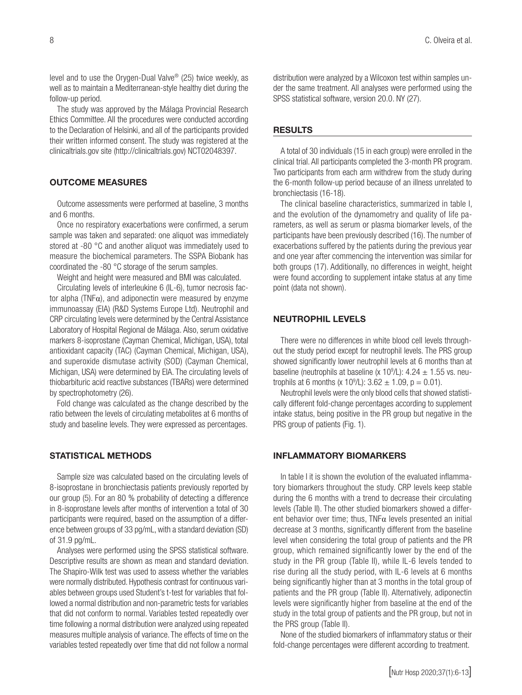level and to use the Orygen-Dual Valve® (25) twice weekly, as well as to maintain a Mediterranean-style healthy diet during the follow-up period.

The study was approved by the Málaga Provincial Research Ethics Committee. All the procedures were conducted according to the Declaration of Helsinki, and all of the participants provided their written informed consent. The study was registered at the clinicaltrials.gov site (http://clinicaltrials.gov) NCT02048397.

# OUTCOME MEASURES

Outcome assessments were performed at baseline, 3 months and 6 months.

Once no respiratory exacerbations were confirmed, a serum sample was taken and separated: one aliquot was immediately stored at -80 °C and another aliquot was immediately used to measure the biochemical parameters. The SSPA Biobank has coordinated the -80 °C storage of the serum samples.

Weight and height were measured and BMI was calculated.

Circulating levels of interleukine 6 (IL-6), tumor necrosis factor alpha (TNFα), and adiponectin were measured by enzyme immunoassay (EIA) (R&D Systems Europe Ltd). Neutrophil and CRP circulating levels were determined by the Central Assistance Laboratory of Hospital Regional de Málaga*.* Also, serum oxidative markers 8-isoprostane (Cayman Chemical, Michigan, USA), total antioxidant capacity (TAC) (Cayman Chemical, Michigan, USA), and superoxide dismutase activity (SOD) (Cayman Chemical, Michigan, USA) were determined by EIA. The circulating levels of thiobarbituric acid reactive substances (TBARs) were determined by spectrophotometry (26).

Fold change was calculated as the change described by the ratio between the levels of circulating metabolites at 6 months of study and baseline levels. They were expressed as percentages.

# STATISTICAL METHODS

Sample size was calculated based on the circulating levels of 8-isoprostane in bronchiectasis patients previously reported by our group (5). For an 80 % probability of detecting a difference in 8-isoprostane levels after months of intervention a total of 30 participants were required, based on the assumption of a difference between groups of 33 pg/mL, with a standard deviation (SD) of 31.9 pg/mL.

Analyses were performed using the SPSS statistical software. Descriptive results are shown as mean and standard deviation. The Shapiro-Wilk test was used to assess whether the variables were normally distributed. Hypothesis contrast for continuous variables between groups used Student's t-test for variables that followed a normal distribution and non-parametric tests for variables that did not conform to normal. Variables tested repeatedly over time following a normal distribution were analyzed using repeated measures multiple analysis of variance. The effects of time on the variables tested repeatedly over time that did not follow a normal

distribution were analyzed by a Wilcoxon test within samples under the same treatment. All analyses were performed using the SPSS statistical software, version 20.0. NY (27).

#### RESULTS

A total of 30 individuals (15 in each group) were enrolled in the clinical trial. All participants completed the 3-month PR program. Two participants from each arm withdrew from the study during the 6-month follow-up period because of an illness unrelated to bronchiectasis (16-18).

The clinical baseline characteristics, summarized in table I, and the evolution of the dynamometry and quality of life parameters, as well as serum or plasma biomarker levels, of the participants have been previously described (16). The number of exacerbations suffered by the patients during the previous year and one year after commencing the intervention was similar for both groups (17). Additionally, no differences in weight, height were found according to supplement intake status at any time point (data not shown).

# NEUTROPHIL LEVELS

There were no differences in white blood cell levels throughout the study period except for neutrophil levels. The PRS group showed significantly lower neutrophil levels at 6 months than at baseline (neutrophils at baseline (x  $10^9$ /L): 4.24  $\pm$  1.55 vs. neutrophils at 6 months (x 10<sup>9</sup>/L):  $3.62 \pm 1.09$ , p = 0.01).

Neutrophil levels were the only blood cells that showed statistically different fold-change percentages according to supplement intake status, being positive in the PR group but negative in the PRS group of patients (Fig. 1).

# INFLAMMATORY BIOMARKERS

In table I it is shown the evolution of the evaluated inflammatory biomarkers throughout the study. CRP levels keep stable during the 6 months with a trend to decrease their circulating levels (Table II). The other studied biomarkers showed a different behavior over time; thus,  $TNF\alpha$  levels presented an initial decrease at 3 months, significantly different from the baseline level when considering the total group of patients and the PR group, which remained significantly lower by the end of the study in the PR group (Table II), while IL-6 levels tended to rise during all the study period, with IL-6 levels at 6 months being significantly higher than at 3 months in the total group of patients and the PR group (Table II). Alternatively, adiponectin levels were significantly higher from baseline at the end of the study in the total group of patients and the PR group, but not in the PRS group (Table II).

None of the studied biomarkers of inflammatory status or their fold-change percentages were different according to treatment.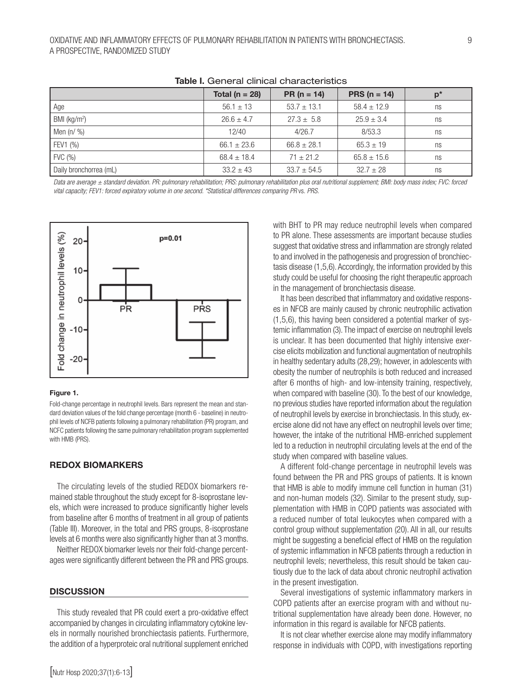|                        | Total ( $n = 28$ ) | $PR (n = 14)$   | <b>PRS</b> ( $n = 14$ ) | $p^*$ |
|------------------------|--------------------|-----------------|-------------------------|-------|
| Age                    | $56.1 \pm 13$      | $53.7 \pm 13.1$ | $58.4 \pm 12.9$         | ns    |
| BMI ( $kg/m2$ )        | $26.6 \pm 4.7$     | $27.3 \pm 5.8$  | $25.9 \pm 3.4$          | ns    |
| Men $(n / %)$          | 12/40              | 4/26.7          | 8/53.3                  | ns    |
| FEV1 (%)               | $66.1 \pm 23.6$    | $66.8 \pm 28.1$ | $65.3 \pm 19$           | ns    |
| FVC (%)                | $68.4 \pm 18.4$    | $71 \pm 21.2$   | $65.8 \pm 15.6$         | ns    |
| Daily bronchorrea (mL) | $33.2 \pm 43$      | $33.7 \pm 54.5$ | $32.7 \pm 28$           | ns    |

#### Table I. General clinical characteristics

*Data are average ± standard deviation. PR: pulmonary rehabilitation; PRS: pulmonary rehabilitation plus oral nutritional supplement; BMI: body mass index; FVC: forced vital capacity; FEV1: forced expiratory volume in one second. \*Statistical differences comparing PR* vs. *PRS.* 



#### Figure 1.

Fold-change percentage in neutrophil levels. Bars represent the mean and standard deviation values of the fold change percentage (month 6 - baseline) in neutrophil levels of NCFB patients following a pulmonary rehabilitation (PR) program, and NCFC patients following the same pulmonary rehabilitation program supplemented with HMB (PRS).

#### REDOX BIOMARKERS

The circulating levels of the studied REDOX biomarkers remained stable throughout the study except for 8-isoprostane levels, which were increased to produce significantly higher levels from baseline after 6 months of treatment in all group of patients (Table III). Moreover, in the total and PRS groups, 8-isoprostane levels at 6 months were also significantly higher than at 3 months.

Neither REDOX biomarker levels nor their fold-change percentages were significantly different between the PR and PRS groups.

#### **DISCUSSION**

This study revealed that PR could exert a pro-oxidative effect accompanied by changes in circulating inflammatory cytokine levels in normally nourished bronchiectasis patients. Furthermore, the addition of a hyperproteic oral nutritional supplement enriched

with BHT to PR may reduce neutrophil levels when compared to PR alone. These assessments are important because studies suggest that oxidative stress and inflammation are strongly related to and involved in the pathogenesis and progression of bronchiectasis disease (1,5,6). Accordingly, the information provided by this study could be useful for choosing the right therapeutic approach in the management of bronchiectasis disease.

It has been described that inflammatory and oxidative responses in NFCB are mainly caused by chronic neutrophilic activation (1,5,6), this having been considered a potential marker of systemic inflammation (3). The impact of exercise on neutrophil levels is unclear. It has been documented that highly intensive exercise elicits mobilization and functional augmentation of neutrophils in healthy sedentary adults (28,29); however, in adolescents with obesity the number of neutrophils is both reduced and increased after 6 months of high- and low-intensity training, respectively, when compared with baseline (30). To the best of our knowledge, no previous studies have reported information about the regulation of neutrophil levels by exercise in bronchiectasis. In this study, exercise alone did not have any effect on neutrophil levels over time; however, the intake of the nutritional HMB-enriched supplement led to a reduction in neutrophil circulating levels at the end of the study when compared with baseline values.

A different fold-change percentage in neutrophil levels was found between the PR and PRS groups of patients. It is known that HMB is able to modify immune cell function in human (31) and non-human models (32). Similar to the present study, supplementation with HMB in COPD patients was associated with a reduced number of total leukocytes when compared with a control group without supplementation (20). All in all, our results might be suggesting a beneficial effect of HMB on the regulation of systemic inflammation in NFCB patients through a reduction in neutrophil levels; nevertheless, this result should be taken cautiously due to the lack of data about chronic neutrophil activation in the present investigation.

Several investigations of systemic inflammatory markers in COPD patients after an exercise program with and without nutritional supplementation have already been done. However, no information in this regard is available for NFCB patients.

It is not clear whether exercise alone may modify inflammatory response in individuals with COPD, with investigations reporting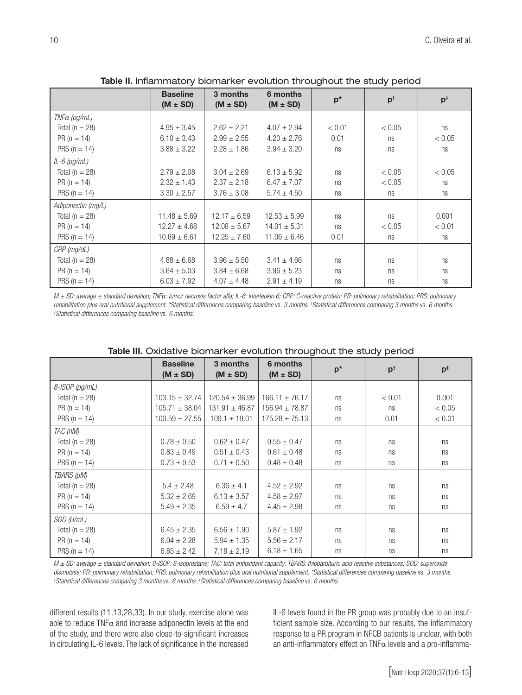|                     | <u>New manufacture</u> with the control of the complete the state political |                          |                          |        |               |                |
|---------------------|-----------------------------------------------------------------------------|--------------------------|--------------------------|--------|---------------|----------------|
|                     | <b>Baseline</b><br>$(M \pm SD)$                                             | 3 months<br>$(M \pm SD)$ | 6 months<br>$(M \pm SD)$ | $p^*$  | $p^{\dagger}$ | $p^{\ddagger}$ |
| $TNF\alpha$ (pg/mL) |                                                                             |                          |                          |        |               |                |
| Total ( $n = 28$ )  | $4.95 \pm 3.45$                                                             | $2.62 \pm 2.21$          | $4.07 \pm 2.94$          | < 0.01 | < 0.05        | ns             |
| $PR (n = 14)$       | $6.10 \pm 3.43$                                                             | $2.99 \pm 2.55$          | $4.20 \pm 2.76$          | 0.01   | ns            | < 0.05         |
| PRS ( $n = 14$ )    | $3.88 \pm 3.22$                                                             | $2.28 \pm 1.86$          | $3.94 \pm 3.20$          | ns     | ns            | ns             |
| $IL-6$ (pg/mL)      |                                                                             |                          |                          |        |               |                |
| Total ( $n = 28$ )  | $2.79 \pm 2.08$                                                             | $3.04 \pm 2.69$          | $6.13 \pm 5.92$          | ns     | < 0.05        | < 0.05         |
| $PR (n = 14)$       | $2.32 \pm 1.43$                                                             | $2.37 \pm 2.18$          | $6.47 \pm 7.07$          | ns     | < 0.05        | ns             |
| PRS ( $n = 14$ )    | $3.30 \pm 2.57$                                                             | $3.76 \pm 3.08$          | $5.74 \pm 4.50$          | ns     | ns            | ns             |
| Adiponectin (mg/L)  |                                                                             |                          |                          |        |               |                |
| Total ( $n = 28$ )  | $11.48 \pm 5.69$                                                            | $12.17 \pm 6.59$         | $12.53 \pm 5.99$         | ns     | ns            | 0.001          |
| $PR (n = 14)$       | $12.27 \pm 4.68$                                                            | $12.08 \pm 5.67$         | $14.01 \pm 5.31$         | ns     | < 0.05        | < 0.01         |
| PRS ( $n = 14$ )    | $10.69 \pm 6.61$                                                            | $12.25 \pm 7.60$         | $11.06 \pm 6.46$         | 0.01   | ns            | ns             |
| CRP (mg/dL)         |                                                                             |                          |                          |        |               |                |
| Total ( $n = 28$ )  | $4.88 \pm 6.68$                                                             | $3.96 \pm 5.50$          | $3.41 \pm 4.66$          | ns     | ns            | ns             |
| $PR (n = 14)$       | $3.64 \pm 5.03$                                                             | $3.84 \pm 6.68$          | $3.96 \pm 5.23$          | ns     | ns            | ns             |
| PRS ( $n = 14$ )    | $6.03 \pm 7.92$                                                             | $4.07 \pm 4.48$          | $2.91 \pm 4.19$          | ns     | ns            | ns             |

Table II. Inflammatory biomarker evolution throughout the study period

*M ± SD: average ± standard deviation; TNF*α*: tumor necrosis factor alfa; IL-6: interleukin 6; CRP: C-reactive protein; PR: pulmonary rehabilitation; PRS: pulmonary rehabilitation plus oral nutritional supplement. \*Statistical differences comparing baseline* vs. *3 months. † Statistical differences comparing 3 months* vs. *6 months. ‡ Statistical differences comparing baseline* vs. *6 months.*

|                    | <b>Baseline</b><br>$(M \pm SD)$ | 3 months<br>$(M \pm SD)$ | 6 months<br>$(M \pm SD)$ | $p^*$ | $p^{\dagger}$ | $p^{\ddagger}$ |
|--------------------|---------------------------------|--------------------------|--------------------------|-------|---------------|----------------|
| $8$ -ISOP (pg/mL)  |                                 |                          |                          |       |               |                |
| Total ( $n = 28$ ) | $103.15 \pm 32.74$              | $120.54 \pm 36.99$       | $166.11 \pm 76.17$       | ns    | < 0.01        | 0.001          |
| $PR (n = 14)$      | $105.71 \pm 38.04$              | $131.91 \pm 46.87$       | $156.94 \pm 78.87$       | ns    | ns            | < 0.05         |
| PRS ( $n = 14$ )   | $100.59 \pm 27.55$              | $109.1 \pm 19.01$        | $175.28 \pm 75.13$       | ns    | 0.01          | < 0.01         |
| TAC (nM)           |                                 |                          |                          |       |               |                |
| Total ( $n = 28$ ) | $0.78 \pm 0.50$                 | $0.62 \pm 0.47$          | $0.55 \pm 0.47$          | ns    | ns            | ns             |
| $PR (n = 14)$      | $0.83 \pm 0.49$                 | $0.51 \pm 0.43$          | $0.61 \pm 0.48$          | ns    | ns            | ns             |
| PRS ( $n = 14$ )   | $0.73 \pm 0.53$                 | $0.71 \pm 0.50$          | $0.48 \pm 0.48$          | ns    | ns            | ns             |
| TBARS (µM)         |                                 |                          |                          |       |               |                |
| Total ( $n = 28$ ) | $5.4 \pm 2.48$                  | $6.36 \pm 4.1$           | $4.52 \pm 2.92$          | ns    | ns            | ns             |
| $PR (n = 14)$      | $5.32 \pm 2.69$                 | $6.13 \pm 3.57$          | $4.58 \pm 2.97$          | ns    | ns            | ns             |
| PRS ( $n = 14$ )   | $5.49 \pm 2.35$                 | $6.59 \pm 4.7$           | $4.45 \pm 2.98$          | ns    | ns            | ns             |
| SOD (U/mL)         |                                 |                          |                          |       |               |                |
| Total ( $n = 28$ ) | $6.45 \pm 2.35$                 | $6.56 \pm 1.90$          | $5.87 \pm 1.92$          | ns    | ns            | ns             |
| $PR (n = 14)$      | $6.04 \pm 2.28$                 | $5.94 \pm 1.35$          | $5.56 \pm 2.17$          | ns    | ns            | ns             |
| PRS ( $n = 14$ )   | $6.85 \pm 2.42$                 | $7.18 \pm 2.19$          | $6.18 \pm 1.65$          | ns    | ns            | ns             |

| Table III. Oxidative biomarker evolution throughout the study period |
|----------------------------------------------------------------------|
|----------------------------------------------------------------------|

*M ± SD: average ± standard deviation; 8-ISOP: 8-isoprostane; TAC: total antioxidant capacity; TBARS: thiobarbituric acid reactive substances; SOD: superoxide*  dismutase; PR: pulmonary rehabilitation; PRS: pulmonary rehabilitation plus oral nutritional supplement. \*Statistical differences comparing baseline vs. 3 months. *Statistical differences comparing 3 months* vs. *6 months. ‡ Statistical differences comparing baseline* vs. *6 months.*

different results (11,13,28,33). In our study, exercise alone was able to reduce  $TNF\alpha$  and increase adiponectin levels at the end of the study, and there were also close-to-significant increases in circulating IL-6 levels. The lack of significance in the increased

IL-6 levels found in the PR group was probably due to an insufficient sample size. According to our results, the inflammatory response to a PR program in NFCB patients is unclear, with both an anti-inflammatory effect on TNF $\alpha$  levels and a pro-inflamma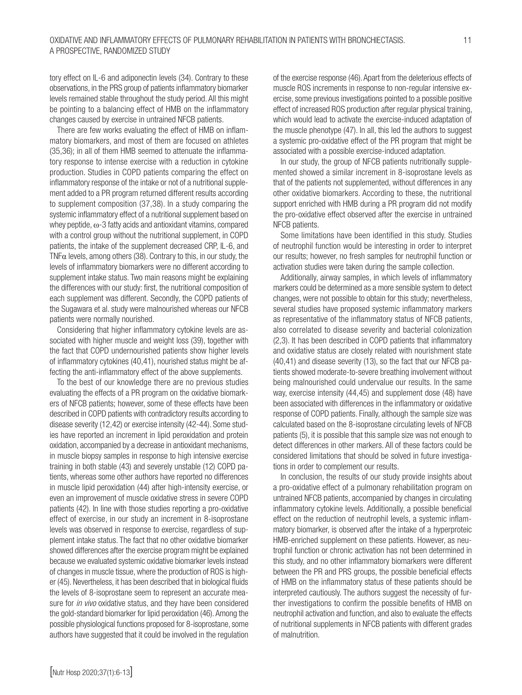tory effect on IL-6 and adiponectin levels (34). Contrary to these observations, in the PRS group of patients inflammatory biomarker levels remained stable throughout the study period. All this might be pointing to a balancing effect of HMB on the inflammatory changes caused by exercise in untrained NFCB patients.

There are few works evaluating the effect of HMB on inflammatory biomarkers, and most of them are focused on athletes (35,36); in all of them HMB seemed to attenuate the inflammatory response to intense exercise with a reduction in cytokine production. Studies in COPD patients comparing the effect on inflammatory response of the intake or not of a nutritional supplement added to a PR program returned different results according to supplement composition (37,38). In a study comparing the systemic inflammatory effect of a nutritional supplement based on whey peptide, ω-3 fatty acids and antioxidant vitamins, compared with a control group without the nutritional supplement, in COPD patients, the intake of the supplement decreased CRP, IL-6, and TNF $\alpha$  levels, among others (38). Contrary to this, in our study, the levels of inflammatory biomarkers were no different according to supplement intake status. Two main reasons might be explaining the differences with our study: first, the nutritional composition of each supplement was different. Secondly, the COPD patients of the Sugawara et al. study were malnourished whereas our NFCB patients were normally nourished.

Considering that higher inflammatory cytokine levels are associated with higher muscle and weight loss (39), together with the fact that COPD undernourished patients show higher levels of inflammatory cytokines (40,41), nourished status might be affecting the anti-inflammatory effect of the above supplements.

To the best of our knowledge there are no previous studies evaluating the effects of a PR program on the oxidative biomarkers of NFCB patients; however, some of these effects have been described in COPD patients with contradictory results according to disease severity (12,42) or exercise intensity (42-44). Some studies have reported an increment in lipid peroxidation and protein oxidation, accompanied by a decrease in antioxidant mechanisms, in muscle biopsy samples in response to high intensive exercise training in both stable (43) and severely unstable (12) COPD patients, whereas some other authors have reported no differences in muscle lipid peroxidation (44) after high-intensity exercise, or even an improvement of muscle oxidative stress in severe COPD patients (42). In line with those studies reporting a pro-oxidative effect of exercise, in our study an increment in 8-isoprostane levels was observed in response to exercise, regardless of supplement intake status. The fact that no other oxidative biomarker showed differences after the exercise program might be explained because we evaluated systemic oxidative biomarker levels instead of changes in muscle tissue, where the production of ROS is higher (45). Nevertheless, it has been described that in biological fluids the levels of 8-isoprostane seem to represent an accurate measure for *in vivo* oxidative status, and they have been considered the gold-standard biomarker for lipid peroxidation (46). Among the possible physiological functions proposed for 8-isoprostane, some authors have suggested that it could be involved in the regulation of the exercise response (46). Apart from the deleterious effects of muscle ROS increments in response to non-regular intensive exercise, some previous investigations pointed to a possible positive effect of increased ROS production after regular physical training, which would lead to activate the exercise-induced adaptation of the muscle phenotype (47). In all, this led the authors to suggest a systemic pro-oxidative effect of the PR program that might be associated with a possible exercise-induced adaptation.

In our study, the group of NFCB patients nutritionally supplemented showed a similar increment in 8-isoprostane levels as that of the patients not supplemented, without differences in any other oxidative biomarkers. According to these, the nutritional support enriched with HMB during a PR program did not modify the pro-oxidative effect observed after the exercise in untrained NFCB patients.

Some limitations have been identified in this study. Studies of neutrophil function would be interesting in order to interpret our results; however, no fresh samples for neutrophil function or activation studies were taken during the sample collection.

Additionally, airway samples, in which levels of inflammatory markers could be determined as a more sensible system to detect changes, were not possible to obtain for this study; nevertheless, several studies have proposed systemic inflammatory markers as representative of the inflammatory status of NFCB patients, also correlated to disease severity and bacterial colonization (2,3). It has been described in COPD patients that inflammatory and oxidative status are closely related with nourishment state (40,41) and disease severity (13), so the fact that our NFCB patients showed moderate-to-severe breathing involvement without being malnourished could undervalue our results. In the same way, exercise intensity (44,45) and supplement dose (48) have been associated with differences in the inflammatory or oxidative response of COPD patients. Finally, although the sample size was calculated based on the 8-isoprostane circulating levels of NFCB patients (5), it is possible that this sample size was not enough to detect differences in other markers. All of these factors could be considered limitations that should be solved in future investigations in order to complement our results.

In conclusion, the results of our study provide insights about a pro-oxidative effect of a pulmonary rehabilitation program on untrained NFCB patients, accompanied by changes in circulating inflammatory cytokine levels. Additionally, a possible beneficial effect on the reduction of neutrophil levels, a systemic inflammatory biomarker, is observed after the intake of a hyperproteic HMB-enriched supplement on these patients. However, as neutrophil function or chronic activation has not been determined in this study, and no other inflammatory biomarkers were different between the PR and PRS groups, the possible beneficial effects of HMB on the inflammatory status of these patients should be interpreted cautiously. The authors suggest the necessity of further investigations to confirm the possible benefits of HMB on neutrophil activation and function, and also to evaluate the effects of nutritional supplements in NFCB patients with different grades of malnutrition.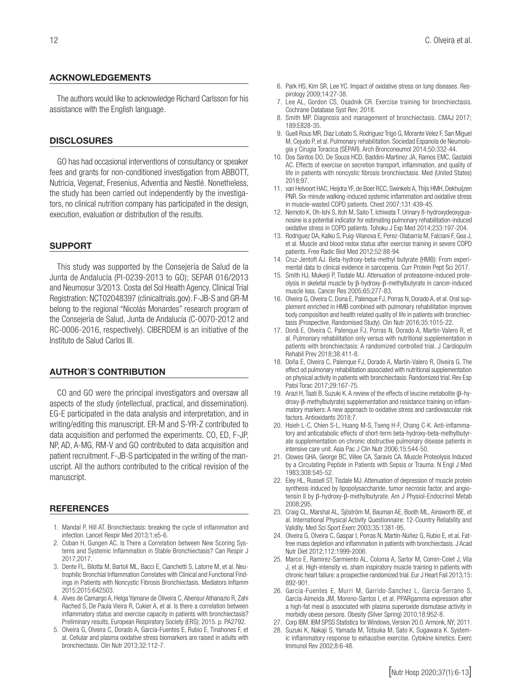#### ACKNOWLEDGEMENTS

The authors would like to acknowledge Richard Carlsson for his assistance with the English language.

#### **DISCLOSURES**

GO has had occasional interventions of consultancy or speaker fees and grants for non-conditioned investigation from ABBOTT, Nutricia, Vegenat, Fresenius, Adventia and Nestlé. Nonetheless, the study has been carried out independently by the investigators, no clinical nutrition company has participated in the design, execution, evaluation or distribution of the results.

#### SUPPORT

This study was supported by the Consejería de Salud de la Junta de Andalucía (PI-0239-2013 to GO); SEPAR 016/2013 and Neumosur 3/2013. Costa del Sol Health Agency. Clinical Trial Registration: NCT02048397 (clinicaltrials.gov). F-JB-S and GR-M belong to the regional "Nicolás Monardes" research program of the Consejería de Salud, Junta de Andalucía (C-0070-2012 and RC-0006-2016, respectively). CIBERDEM is an initiative of the Instituto de Salud Carlos III.

#### AUTHOR´S CONTRIBUTION

CO and GO were the principal investigators and oversaw all aspects of the study (intellectual, practical, and dissemination). EG-E participated in the data analysis and interpretation, and in writing/editing this manuscript. ER-M and S-YR-Z contributed to data acquisition and performed the experiments. CO, ED, F-JP, NP, AD, A-MG, RM-V and GO contributed to data acquisition and patient recruitment. F-JB-S participated in the writing of the manuscript. All the authors contributed to the critical revision of the manuscript.

# **REFERENCES**

- 1. Mandal P, Hill AT. Bronchiectasis: breaking the cycle of inflammation and infection. Lancet Respir Med 2013;1:e5-6.
- 2. Coban H, Gungen AC. Is There a Correlation between New Scoring Systems and Systemic Inflammation in Stable Bronchiectasis? Can Respir J 2017;2017.
- 3. Dente FL, Bilotta M, Bartoli ML, Bacci E, Cianchetti S, Latorre M, et al. Neutrophilic Bronchial Inflammation Correlates with Clinical and Functional Findings in Patients with Noncystic Fibrosis Bronchiectasis. Mediators Inflamm 2015;2015:642503.
- 4. Alves de Camargo A, Helga Yamane de Oliveira C, Abensur Athanazio R, Zahi Rached S, De Paula Vieira R, Cukier A, et al. Is there a correlation between inflammatory status and exercise capacity in patients with bronchiectasis? Preliminary results, European Respiratory Society (ERS); 2015. p. PA2792.
- 5. Olveira G, Olveira C, Dorado A, Garcia-Fuentes E, Rubio E, Tinahones F, et al. Cellular and plasma oxidative stress biomarkers are raised in adults with bronchiectasis. Clin Nutr 2013;32:112-7.
- 6. Park HS, Kim SR, Lee YC. Impact of oxidative stress on lung diseases. Respirology 2009;14:27-38.
- 7. Lee AL, Gordon CS, Osadnik CR. Exercise training for bronchiectasis. Cochrane Database Syst Rev; 2018.
- 8. Smith MP. Diagnosis and management of bronchiectasis. CMAJ 2017; 189:E828-35.
- 9. Guell Rous MR, Diaz Lobato S, Rodriguez Trigo G, Morante Velez F, San Miguel M, Cejudo P, et al. Pulmonary rehabilitation. Sociedad Espanola de Neumologia y Cirugia Toracica (SEPAR). Arch Bronconeumol 2014;50:332-44.
- 10. Dos Santos DO, De Souza HCD, Baddini-Martinez JA, Ramos EMC, Gastaldi AC. Effects of exercise on secretion transport, inflammation, and quality of life in patients with noncystic fibrosis bronchiectasis. Med (United States) 2018;97.
- 11. van Helvoort HAC, Heijdra YF, de Boer RCC, Swinkels A, Thijs HMH, Dekhuijzen PNR. Six-minute walking-induced systemic inflammation and oxidative stress in muscle-wasted COPD patients. Chest 2007;131:439-45.
- 12. Nemoto K, Oh-Ishi S, Itoh M, Saito T, Ichiwata T. Urinary 8-hydroxydeoxyguanosine is a potential indicator for estimating pulmonary rehabilitation-induced oxidative stress in COPD patients. Tohoku J Exp Med 2014;233:197-204.
- 13. Rodriguez DA, Kalko S, Puig-Vilanova E, Perez-Olabarria M, Falciani F, Gea J, et al. Muscle and blood redox status after exercise training in severe COPD patients. Free Radic Biol Med 2012;52:88-94.
- 14. Cruz-Jentoft AJ. Beta-hydroxy-beta-methyl butyrate (HMB): From experimental data to clinical evidence in sarcopenia. Curr Protein Pept Sci 2017.
- 15. Smith HJ, Mukerji P, Tisdale MJ. Attenuation of proteasome-induced proteolysis in skeletal muscle by β-hydroxy-β-methylbutyrate in cancer-induced muscle loss. Cancer Res 2005;65:277-83.
- 16. Olveira G, Olveira C, Dona E, Palenque FJ, Porras N, Dorado A, et al. Oral supplement enriched in HMB combined with pulmonary rehabilitation improves body composition and health related quality of life in patients with bronchiectasis (Prospective, Randomised Study). Clin Nutr 2016;35:1015-22.
- 17. Donã E, Olveira C, Palenque FJ, Porras N, Dorado A, Martín-Valero R, et al. Pulmonary rehabilitation only versus with nutritional supplementation in patients with bronchiectasis: A randomized controlled trial. J Cardiopulm Rehabil Prev 2018;38:411-8.
- 18. Doña E, Olveira C, Palenque FJ, Dorado A, Martín-Valero R, Olveira G. The effect od pulmonary rehabilitation associated with nutritional supplementation on physical activity in patients with bronchiectasis: Randomized trial. Rev Esp Patol Torac 2017;29:167-75.
- 19. Arazi H, Taati B, Suzuki K. A review of the effects of leucine metabolite (β-hydroxy-β-methylbutyrate) supplementation and resistance training on inflammatory markers: A new approach to oxidative stress and cardiovascular risk factors. Antioxidants 2018;7.
- 20. Hsieh L-C, Chien S-L, Huang M-S, Tseng H-F, Chang C-K. Anti-inflammatory and anticatabolic effects of short-term beta-hydroxy-beta-methylbutyrate supplementation on chronic obstructive pulmonary disease patients in intensive care unit. Asia Pac J Clin Nutr 2006;15:544-50.
- 21. Clowes GHA, George BC, Villee CA, Saravis CA. Muscle Proteolysis Induced by a Circulating Peptide in Patients with Sepsis or Trauma. N Engl J Med 1983;308:545-52.
- 22. Eley HL, Russell ST, Tisdale MJ. Attenuation of depression of muscle protein synthesis induced by lipopolysaccharide, tumor necrosis factor, and angiotensin II by β-hydroxy-β-methylbutyrate. Am J Physiol-Endocrinol Metab 2008;295.
- 23. Craig CL, Marshal AL, Sjöström M, Bauman AE, Booth ML, Ainsworth BE, et al. International Physical Activity Questionnaire: 12-Country Reliability and Validity. Med Sci Sport Exerc 2003;35:1381-95.
- 24. Olveira G, Olveira C, Gaspar I, Porras N, Martín-Núñez G, Rubio E, et al. Fatfree mass depletion and inflammation in patients with bronchiectasis. J Acad Nutr Diet 2012;112:1999-2006.
- 25. Marco E, Ramírez-Sarmiento AL, Coloma A, Sartor M, Comin-Colet J, Vila J, et al. High-intensity vs. sham inspiratory muscle training in patients with chronic heart failure: a prospective randomized trial. Eur J Heart Fail 2013;15: 892-901.
- 26. Garcia-Fuentes E, Murri M, Garrido-Sanchez L, Garcia-Serrano S, García-Almeida JM, Moreno-Santos I, et al. PPARgamma expression after a high-fat meal is associated with plasma superoxide dismutase activity in morbidly obese persons. Obesity (Silver Spring) 2010;18:952-8.
- 27. Corp IBM. IBM SPSS Statistics for Windows, Version 20.0. Armonk, NY; 2011.
- Suzuki K, Nakaji S, Yamada M, Totsuka M, Sato K, Sugawara K. Systemic inflammatory response to exhaustive exercise. Cytokine kinetics. Exerc Immunol Rev 2002;8:6-48.